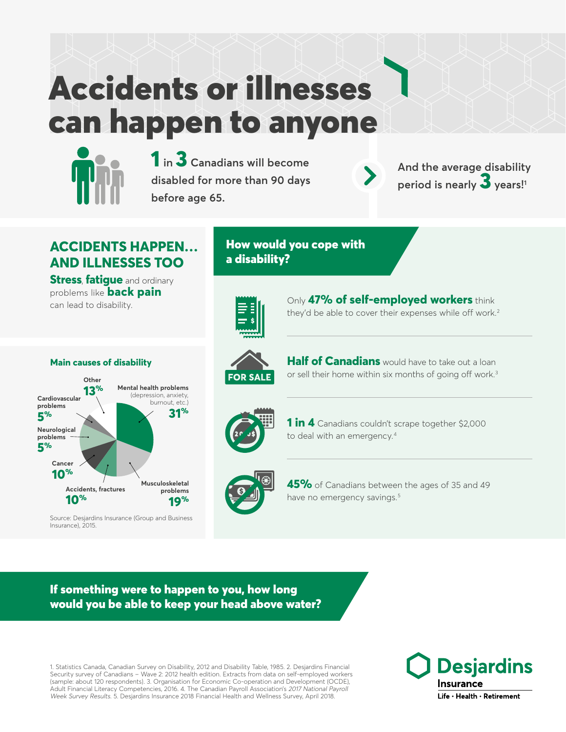# Accidents or illnesses can happen to anyone



**1 in 3 Canadians will become disabled for more than 90 days before age 65.**

**And the average disability period is nearly 3 years!1**

# **ACCIDENTS HAPPEN… AND ILLNESSES TOO**

**Stress**, **fatigue** and ordinary problems like **back pain** can lead to disability.

### How would you cope with a disability?



Only **47% of self-employed workers** think they'd be able to cover their expenses while off work.<sup>2</sup>



**Half of Canadians** would have to take out a loan or sell their home within six months of going off work.<sup>3</sup>

Organisation for Economic Co-operation and Development (OCDE), Adult Financial



**1 in 4** Canadians couldn't scrape together \$2,000 to deal with an emergency.<sup>4</sup>



**45%** of Canadians between the ages of 35 and 49 have no emergency savings.<sup>5</sup>

If something were to happen to you, how long would you be able to keep your head above water?

1. Statistics Canada, Canadian Survey on Disability, 2012 and Disability Table, 1985. 2. Desjardins Financial Security survey of Canadians – Wave 2: 2012 health edition. Extracts from data on self-employed workers (sample: about 120 respondents). 3. Organisation for Economic Co-operation and Development (OCDE), Adult Financial Literacy Competencies, 2016. 4. The Canadian Payroll Association's 2017 N*ational Payroll*<br>Wee*k Survey Results.* 5. Desjardins Insurance 2018 Financial Health and Wellness Survey, April 2018.



**Main causes of disability**



Source: Desjardins Insurance (Group and Business Insurance), 2015.